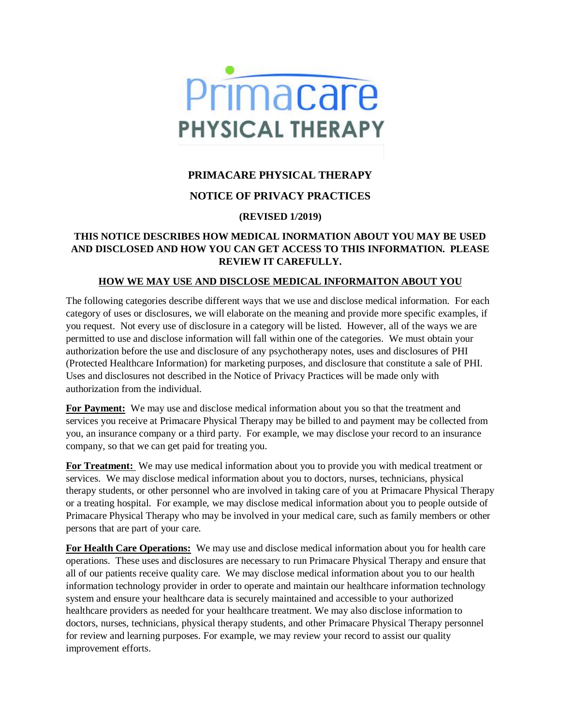

# **PRIMACARE PHYSICAL THERAPY**

## **NOTICE OF PRIVACY PRACTICES**

## **(REVISED 1/2019)**

#### **THIS NOTICE DESCRIBES HOW MEDICAL INORMATION ABOUT YOU MAY BE USED AND DISCLOSED AND HOW YOU CAN GET ACCESS TO THIS INFORMATION. PLEASE REVIEW IT CAREFULLY.**

#### **HOW WE MAY USE AND DISCLOSE MEDICAL INFORMAITON ABOUT YOU**

The following categories describe different ways that we use and disclose medical information. For each category of uses or disclosures, we will elaborate on the meaning and provide more specific examples, if you request. Not every use of disclosure in a category will be listed. However, all of the ways we are permitted to use and disclose information will fall within one of the categories. We must obtain your authorization before the use and disclosure of any psychotherapy notes, uses and disclosures of PHI (Protected Healthcare Information) for marketing purposes, and disclosure that constitute a sale of PHI. Uses and disclosures not described in the Notice of Privacy Practices will be made only with authorization from the individual.

**For Payment:** We may use and disclose medical information about you so that the treatment and services you receive at Primacare Physical Therapy may be billed to and payment may be collected from you, an insurance company or a third party. For example, we may disclose your record to an insurance company, so that we can get paid for treating you.

**For Treatment:** We may use medical information about you to provide you with medical treatment or services. We may disclose medical information about you to doctors, nurses, technicians, physical therapy students, or other personnel who are involved in taking care of you at Primacare Physical Therapy or a treating hospital. For example, we may disclose medical information about you to people outside of Primacare Physical Therapy who may be involved in your medical care, such as family members or other persons that are part of your care.

**For Health Care Operations:** We may use and disclose medical information about you for health care operations. These uses and disclosures are necessary to run Primacare Physical Therapy and ensure that all of our patients receive quality care. We may disclose medical information about you to our health information technology provider in order to operate and maintain our healthcare information technology system and ensure your healthcare data is securely maintained and accessible to your authorized healthcare providers as needed for your healthcare treatment. We may also disclose information to doctors, nurses, technicians, physical therapy students, and other Primacare Physical Therapy personnel for review and learning purposes. For example, we may review your record to assist our quality improvement efforts.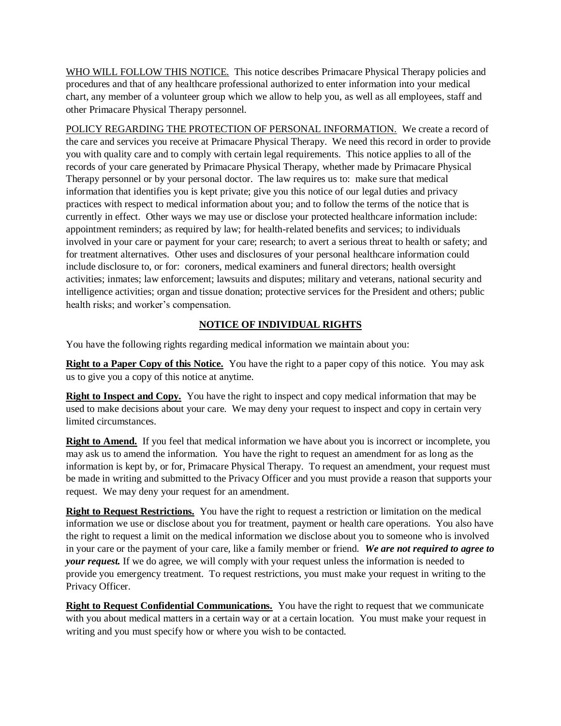WHO WILL FOLLOW THIS NOTICE. This notice describes Primacare Physical Therapy policies and procedures and that of any healthcare professional authorized to enter information into your medical chart, any member of a volunteer group which we allow to help you, as well as all employees, staff and other Primacare Physical Therapy personnel.

POLICY REGARDING THE PROTECTION OF PERSONAL INFORMATION. We create a record of the care and services you receive at Primacare Physical Therapy. We need this record in order to provide you with quality care and to comply with certain legal requirements. This notice applies to all of the records of your care generated by Primacare Physical Therapy, whether made by Primacare Physical Therapy personnel or by your personal doctor. The law requires us to: make sure that medical information that identifies you is kept private; give you this notice of our legal duties and privacy practices with respect to medical information about you; and to follow the terms of the notice that is currently in effect. Other ways we may use or disclose your protected healthcare information include: appointment reminders; as required by law; for health-related benefits and services; to individuals involved in your care or payment for your care; research; to avert a serious threat to health or safety; and for treatment alternatives. Other uses and disclosures of your personal healthcare information could include disclosure to, or for: coroners, medical examiners and funeral directors; health oversight activities; inmates; law enforcement; lawsuits and disputes; military and veterans, national security and intelligence activities; organ and tissue donation; protective services for the President and others; public health risks; and worker's compensation.

#### **NOTICE OF INDIVIDUAL RIGHTS**

You have the following rights regarding medical information we maintain about you:

**Right to a Paper Copy of this Notice.** You have the right to a paper copy of this notice. You may ask us to give you a copy of this notice at anytime.

**Right to Inspect and Copy.** You have the right to inspect and copy medical information that may be used to make decisions about your care. We may deny your request to inspect and copy in certain very limited circumstances.

**Right to Amend.** If you feel that medical information we have about you is incorrect or incomplete, you may ask us to amend the information. You have the right to request an amendment for as long as the information is kept by, or for, Primacare Physical Therapy. To request an amendment, your request must be made in writing and submitted to the Privacy Officer and you must provide a reason that supports your request. We may deny your request for an amendment.

**Right to Request Restrictions.** You have the right to request a restriction or limitation on the medical information we use or disclose about you for treatment, payment or health care operations. You also have the right to request a limit on the medical information we disclose about you to someone who is involved in your care or the payment of your care, like a family member or friend. *We are not required to agree to your request.* If we do agree, we will comply with your request unless the information is needed to provide you emergency treatment. To request restrictions, you must make your request in writing to the Privacy Officer.

**Right to Request Confidential Communications.** You have the right to request that we communicate with you about medical matters in a certain way or at a certain location. You must make your request in writing and you must specify how or where you wish to be contacted.